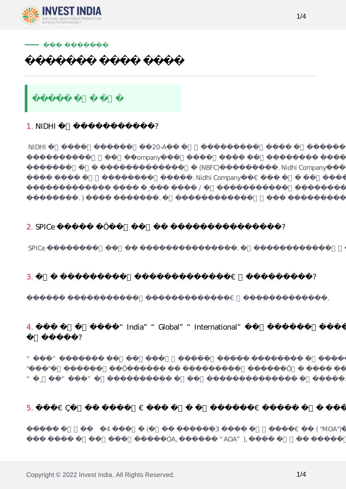

## 1. NIDHI 2

NIDHI 620-A RBI " " Nidhi Company 금융 투자 회사 또는 비은행 금융 회사 (NBFC)와 다릅니다. Nidhi Company는 회원에게만 예치금을 , Nidhi Company في المسابق المسابق المسابق المسابق المسابق المسابق المسابق المسابق المسابق المسابق المسابق الم<br>المسابق المسابق المسابق المسابق المسابق المسابق المسابق المسابق المسابق المسابق المسابق المسابق المسابق المساب  $\frac{1}{2}$  ,  $\frac{1}{2}$  (experimentally experimentally experimental  $\frac{1}{2}$  ,  $\frac{1}{2}$  )  $\,$  , ) or a set of the set of the set of the set of the set of the set of the set of the set of the set of the set of the set of the set of the set of the set of the set of the set of the set of the set of the set of th  $2.$  SPICe  $\frac{1}{2}$ SPICe the first state  $\sim$  $3.$ 아니요, 이름이 비즈니스의 성격을 나타내는 것은 필수가 아닙니다. 4. The "India" "Global" "International" 있습니까? "인도"는 인도에 자회사를 편입하는 외국 기업에서 사용할 수 있습니다. 지주 회사의 원래 이름은  $\mathbb{R}$  , the contract and of the contract and of the contract of the contract of the contract of the contract of the contract of the contract of the contract of the contract of the contract of the contract of the contra  $\frac{1}{2}$  ,  $\frac{1}{2}$  ,  $\frac{1}{2}$  ,  $\frac{1}{2}$  ,  $\frac{1}{2}$  ,  $\frac{1}{2}$  ,  $\frac{1}{2}$  ,  $\frac{1}{2}$  ,  $\frac{1}{2}$  ,  $\frac{1}{2}$  ,  $\frac{1}{2}$  ,  $\frac{1}{2}$  ,  $\frac{1}{2}$  ,  $\frac{1}{2}$  ,  $\frac{1}{2}$  ,  $\frac{1}{2}$  ,  $\frac{1}{2}$  ,  $\frac{1}{2}$  ,  $\frac{1$ 5. 해외 가입자 및 이사의 경우 회사 설립을 위해 공증 및 배도 서류가 필요합니까? 2014 ( ) 13 ("MOA")

MOA,  $($  " AOA"),  $/$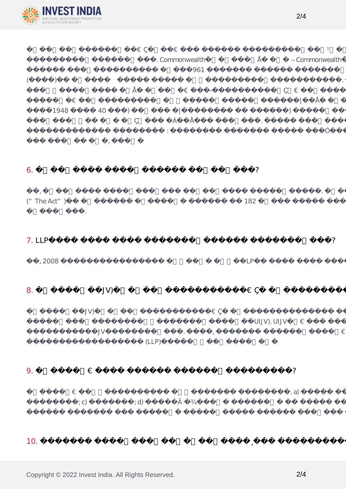

|                                                                  | $\left($<br>$\big)$                   | . Commonwealth<br>1961 |                          | - Commonwealth |                      |                           |           |               |          |          |
|------------------------------------------------------------------|---------------------------------------|------------------------|--------------------------|----------------|----------------------|---------------------------|-----------|---------------|----------|----------|
| $\left($                                                         |                                       |                        | $\overline{\phantom{0}}$ |                | $\ddot{\phantom{a}}$ | 1961                      | $\lambda$ |               |          |          |
|                                                                  |                                       |                        |                          |                |                      |                           |           |               |          | .1948    |
| (1948)                                                           | 40 )                                  |                        |                          |                |                      | $\ensuremath{\mathbf{3}}$ |           |               | . e.     |          |
| $\,$                                                             | $\overline{\phantom{a}}$<br>$\bullet$ | $\ddot{\cdot}$         |                          |                | ٠<br>$^\circ$        | $\overline{\phantom{a}}$  | $^\circ$  | $\,$ ,        | $^\circ$ | $^\circ$ |
| 6.                                                               |                                       |                        |                          | $\tilde{?}$    |                      |                           |           |               |          |          |
| $\rightarrow$<br>(" The Act")<br>the contract of the contract of |                                       |                        |                          | 182            |                      | $\bullet$                 |           | 149 (3). 2013 |          |          |

| 7. LLP |  |  |  |
|--------|--|--|--|
|        |  |  |  |









## $10.$

Copyright © 2022 Invest India. All Rights Reserved. 2/4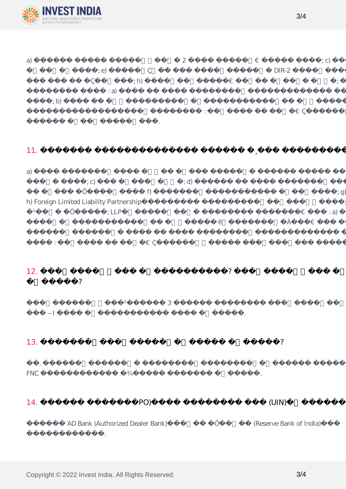